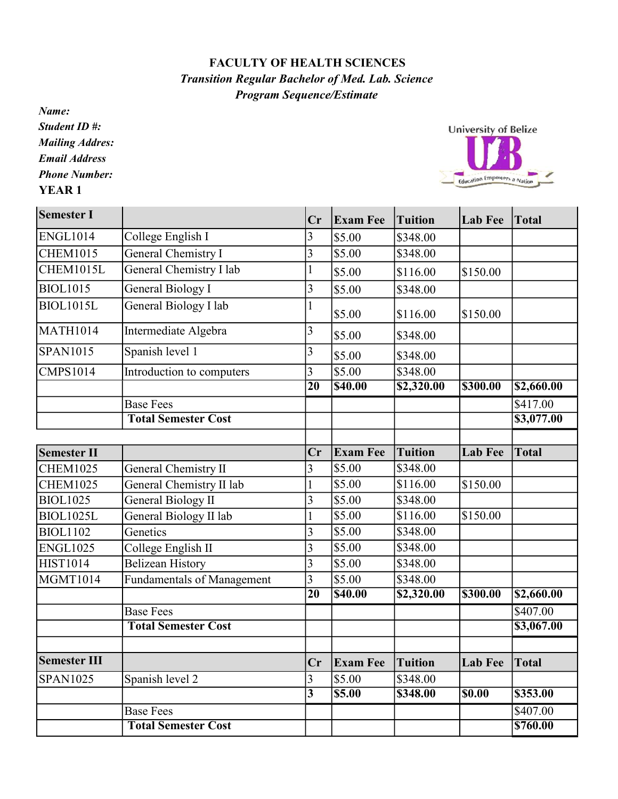## FACULTY OF HEALTH SCIENCES Transition Regular Bachelor of Med. Lab. Science Program Sequence/Estimate

Name: Student ID #: Mailing Addres: Email Address Phone Number: YEAR 1

Education Empowers a Nation Semester I Cr  $|$  Cr  $|$  Exam Fee Tuition  $|$  Lab Fee Total ENGL1014 College English I 3 \$5.00 \$348.00<br>CHEM1015 General Chemistry I 3 \$5.00 \$348.00 CHEM1015 General Chemistry I  $\begin{array}{|l|l|} \hline 3 & 5.00 & 5348.00 \hline \end{array}$ CHEM1015L General Chemistry I lab 1 \$5.00 \$116.00 \$150.00  $\mathbf{I}$ 

|                     |                                   |                 | ov.uu              | 9110.UU        | 9190.00            |                        |
|---------------------|-----------------------------------|-----------------|--------------------|----------------|--------------------|------------------------|
| <b>BIOL1015</b>     | General Biology I                 | 3               | \$5.00             | \$348.00       |                    |                        |
| <b>BIOL1015L</b>    | General Biology I lab             |                 | \$5.00             | \$116.00       | \$150.00           |                        |
| <b>MATH1014</b>     | Intermediate Algebra              | 3               | \$5.00             | \$348.00       |                    |                        |
| <b>SPAN1015</b>     | Spanish level 1                   | 3               | \$5.00             | \$348.00       |                    |                        |
| <b>CMPS1014</b>     | Introduction to computers         | 3               | $\overline{$}5.00$ | \$348.00       |                    |                        |
|                     |                                   | $\overline{20}$ | <b>\$40.00</b>     | \$2,320.00     | \$300.00           | \$2,660.00             |
|                     | <b>Base Fees</b>                  |                 |                    |                |                    | \$417.00               |
|                     | <b>Total Semester Cost</b>        |                 |                    |                |                    | $\overline{$3,077.00}$ |
| <b>Semester II</b>  |                                   | Cr              | <b>Exam Fee</b>    | <b>Tuition</b> | <b>Lab Fee</b>     | <b>Total</b>           |
| <b>CHEM1025</b>     | General Chemistry II              | 3               | \$5.00             | \$348.00       |                    |                        |
| <b>CHEM1025</b>     | General Chemistry II lab          |                 | \$5.00             | \$116.00       | \$150.00           |                        |
| <b>BIOL1025</b>     | <b>General Biology II</b>         | 3               | \$5.00             | \$348.00       |                    |                        |
| <b>BIOL1025L</b>    | General Biology II lab            |                 | \$5.00             | \$116.00       | \$150.00           |                        |
| <b>BIOL1102</b>     | Genetics                          | 3               | \$5.00             | \$348.00       |                    |                        |
| <b>ENGL1025</b>     | College English II                | $\overline{3}$  | \$5.00             | \$348.00       |                    |                        |
| <b>HIST1014</b>     | <b>Belizean History</b>           | 3               | \$5.00             | \$348.00       |                    |                        |
| <b>MGMT1014</b>     | <b>Fundamentals of Management</b> | $\overline{3}$  | \$5.00             | \$348.00       |                    |                        |
|                     |                                   | $\overline{20}$ | \$40.00            | \$2,320.00     | \$300.00           | $\overline{$2,660.00}$ |
|                     | <b>Base Fees</b>                  |                 |                    |                |                    | \$407.00               |
|                     | <b>Total Semester Cost</b>        |                 |                    |                |                    | \$3,067.00             |
|                     |                                   |                 |                    |                |                    |                        |
| <b>Semester III</b> |                                   | Cr              | <b>Exam Fee</b>    | <b>Tuition</b> | <b>Lab Fee</b>     | <b>Total</b>           |
| <b>SPAN1025</b>     | Spanish level 2                   | $\mathfrak{Z}$  | \$5.00             | \$348.00       |                    |                        |
|                     |                                   | $\overline{3}$  | 55.00              | \$348.00       | $\overline{$0.00}$ | \$353.00               |
|                     | <b>Base Fees</b>                  |                 |                    |                |                    | \$407.00               |
|                     | <b>Total Semester Cost</b>        |                 |                    |                |                    | \$760.00               |

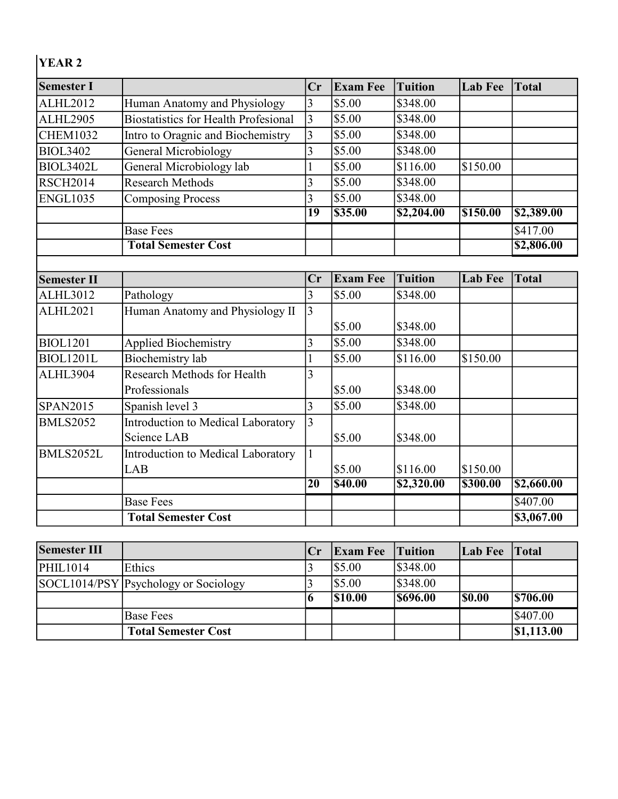## YEAR 2

| <b>Semester I</b>  |                                             | Cr | <b>Exam Fee</b> | <b>Tuition</b>         | <b>Lab Fee</b> | <b>Total</b> |
|--------------------|---------------------------------------------|----|-----------------|------------------------|----------------|--------------|
| <b>ALHL2012</b>    | Human Anatomy and Physiology                | 3  | \$5.00          | \$348.00               |                |              |
| <b>ALHL2905</b>    | <b>Biostatistics for Health Profesional</b> | 3  | \$5.00          | \$348.00               |                |              |
| <b>CHEM1032</b>    | Intro to Oragnic and Biochemistry           | 3  | \$5.00          | \$348.00               |                |              |
| <b>BIOL3402</b>    | General Microbiology                        | 3  | \$5.00          | \$348.00               |                |              |
| <b>BIOL3402L</b>   | General Microbiology lab                    |    | \$5.00          | \$116.00               | \$150.00       |              |
| <b>RSCH2014</b>    | <b>Research Methods</b>                     |    | \$5.00          | \$348.00               |                |              |
| <b>ENGL1035</b>    | Composing Process                           | 3  | \$5.00          | \$348.00               |                |              |
|                    |                                             | 19 | \$35.00         | $\overline{$2,204.00}$ | \$150.00       | \$2,389.00   |
|                    | <b>Base Fees</b>                            |    |                 |                        |                | \$417.00     |
|                    | <b>Total Semester Cost</b>                  |    |                 |                        |                | \$2,806.00   |
|                    |                                             |    |                 |                        |                |              |
| <b>Semester II</b> |                                             | Cr | <b>Exam Fee</b> | <b>Tuition</b>         | <b>Lab Fee</b> | <b>Total</b> |
| ALHL3012           | Pathology                                   | 3  | \$5.00          | \$348.00               |                |              |
| <b>ALHL2021</b>    | Human Anatomy and Physiology II             | 3  |                 |                        |                |              |

|                  | <b>Total Semester Cost</b>         |                 |                  |            |          | \$3,067.00 |
|------------------|------------------------------------|-----------------|------------------|------------|----------|------------|
|                  | <b>Base Fees</b>                   |                 |                  |            |          | \$407.00   |
|                  |                                    | 20              | <b>S40.00</b>    | \$2,320.00 | \$300.00 | \$2,660.00 |
|                  | LAB                                |                 | \$5.00           | \$116.00   | \$150.00 |            |
| <b>BMLS2052L</b> | Introduction to Medical Laboratory |                 |                  |            |          |            |
|                  | Science LAB                        |                 | \$5.00           | \$348.00   |          |            |
| <b>BMLS2052</b>  | Introduction to Medical Laboratory | $\vert 3 \vert$ |                  |            |          |            |
| <b>SPAN2015</b>  | Spanish level 3                    |                 | \$5.00           | \$348.00   |          |            |
|                  | Professionals                      |                 | \$5.00           | \$348.00   |          |            |
| <b>ALHL3904</b>  | Research Methods for Health        | 3               |                  |            |          |            |
| <b>BIOL1201L</b> | Biochemistry lab                   |                 | $\frac{1}{5.00}$ | \$116.00   | \$150.00 |            |
| <b>BIOL1201</b>  | <b>Applied Biochemistry</b>        |                 | $\frac{1}{5.00}$ | \$348.00   |          |            |
|                  |                                    |                 | \$5.00           | \$348.00   |          |            |
| <b>ALHL2021</b>  | Human Anatomy and Physiology II    |                 |                  |            |          |            |
| ALHL3ULZ         | Pathology                          | $\mathcal{L}$   | JJ.UU            | \$240.UU   |          |            |

| <b>Semester III</b> |                                      | Cr | <b>Exam Fee</b> Tuition |                | Lab Fee Total |                     |
|---------------------|--------------------------------------|----|-------------------------|----------------|---------------|---------------------|
| <b>PHIL1014</b>     | Ethics                               |    | <b>S5.00</b>            | \$348.00       |               |                     |
|                     | SOCL1014/PSY Psychology or Sociology |    | \$5.00                  | \$348.00       |               |                     |
|                     |                                      |    | \$10.00                 | <b>S696.00</b> | <b>S0.00</b>  | <b>S706.00</b>      |
|                     | <b>Base Fees</b>                     |    |                         |                |               | $\frac{1}{2}407.00$ |
|                     | <b>Total Semester Cost</b>           |    |                         |                |               | \$1,113.00          |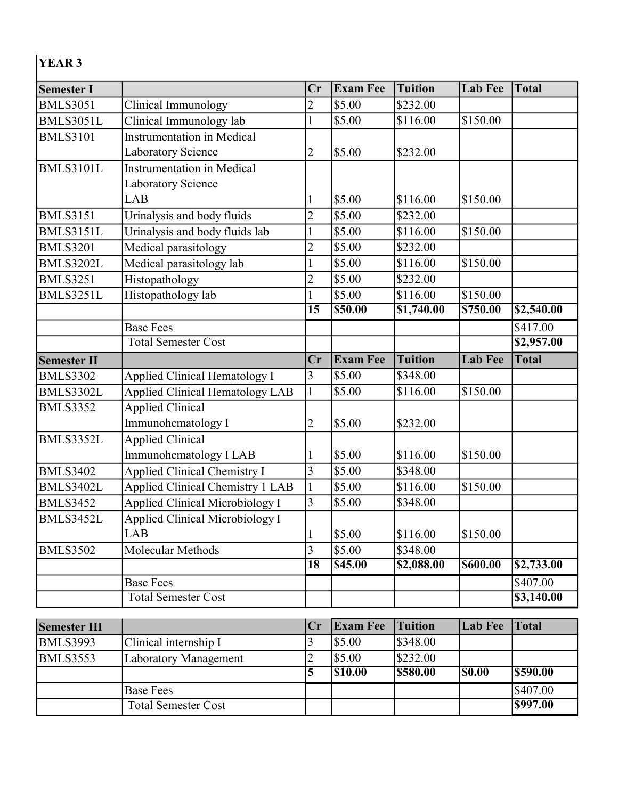## YEAR 3

| <b>Semester I</b>  |                                         | Cr              | <b>Exam Fee</b> | <b>Tuition</b>         | <b>Lab Fee</b> | <b>Total</b>                    |
|--------------------|-----------------------------------------|-----------------|-----------------|------------------------|----------------|---------------------------------|
| <b>BMLS3051</b>    | Clinical Immunology                     | $\overline{c}$  | \$5.00          | \$232.00               |                |                                 |
| <b>BMLS3051L</b>   | Clinical Immunology lab                 |                 | \$5.00          | \$116.00               | \$150.00       |                                 |
| <b>BMLS3101</b>    | <b>Instrumentation in Medical</b>       |                 |                 |                        |                |                                 |
|                    | Laboratory Science                      | $\overline{c}$  | \$5.00          | \$232.00               |                |                                 |
| <b>BMLS3101L</b>   | <b>Instrumentation in Medical</b>       |                 |                 |                        |                |                                 |
|                    | <b>Laboratory Science</b>               |                 |                 |                        |                |                                 |
|                    | <b>LAB</b>                              | I               | \$5.00          | \$116.00               | \$150.00       |                                 |
| <b>BMLS3151</b>    | Urinalysis and body fluids              | $\overline{2}$  | \$5.00          | \$232.00               |                |                                 |
| <b>BMLS3151L</b>   | Urinalysis and body fluids lab          |                 | \$5.00          | \$116.00               | \$150.00       |                                 |
| <b>BMLS3201</b>    | Medical parasitology                    | $\overline{c}$  | \$5.00          | \$232.00               |                |                                 |
| <b>BMLS3202L</b>   | Medical parasitology lab                |                 | \$5.00          | \$116.00               | \$150.00       |                                 |
| <b>BMLS3251</b>    | Histopathology                          | $\overline{c}$  | \$5.00          | \$232.00               |                |                                 |
| <b>BMLS3251L</b>   | Histopathology lab                      |                 | \$5.00          | \$116.00               | \$150.00       |                                 |
|                    |                                         | $\overline{15}$ | \$50.00         | $\overline{$1,740.00}$ | \$750.00       | \$2,540.00                      |
|                    | <b>Base Fees</b>                        |                 |                 |                        |                | \$417.00                        |
|                    | <b>Total Semester Cost</b>              |                 |                 |                        |                | \$2,957.00                      |
| <b>Semester II</b> |                                         | Cr              | <b>Exam Fee</b> | <b>Tuition</b>         | <b>Lab Fee</b> | <b>Total</b>                    |
| <b>BMLS3302</b>    | <b>Applied Clinical Hematology I</b>    | 3               | \$5.00          | \$348.00               |                |                                 |
| BMLS3302L          | <b>Applied Clinical Hematology LAB</b>  | $\mathbf{1}$    | \$5.00          | \$116.00               | \$150.00       |                                 |
| <b>BMLS3352</b>    | <b>Applied Clinical</b>                 |                 |                 |                        |                |                                 |
|                    | Immunohematology I                      | 2               | \$5.00          | \$232.00               |                |                                 |
| BMLS3352L          | <b>Applied Clinical</b>                 |                 |                 |                        |                |                                 |
|                    | Immunohematology I LAB                  | l               | \$5.00          | \$116.00               | \$150.00       |                                 |
| <b>BMLS3402</b>    | <b>Applied Clinical Chemistry I</b>     | 3               | \$5.00          | \$348.00               |                |                                 |
| <b>BMLS3402L</b>   | <b>Applied Clinical Chemistry 1 LAB</b> | $\mathbf{1}$    | \$5.00          | \$116.00               | \$150.00       |                                 |
| <b>BMLS3452</b>    | Applied Clinical Microbiology I         | 3               | \$5.00          | \$348.00               |                |                                 |
| BMLS3452L          | <b>Applied Clinical Microbiology I</b>  |                 |                 |                        |                |                                 |
|                    | LAB                                     | $\mathbf{I}$    | \$5.00          | \$116.00               | \$150.00       |                                 |
| <b>BMLS3502</b>    | Molecular Methods                       | 3               | \$5.00          | \$348.00               |                |                                 |
|                    |                                         | $\overline{18}$ | \$45.00         | \$2,088.00             | \$600.00       | \$2,733.00                      |
|                    | <b>Base Fees</b>                        |                 |                 |                        |                | \$407.00                        |
|                    | <b>Total Semester Cost</b>              |                 |                 |                        |                | $\overline{\textbf{33,140.00}}$ |

| <b>Semester III</b> |                            | Cr | <b>Exam Fee</b> Tuition |                | Lab Fee         | <b>Total</b>   |
|---------------------|----------------------------|----|-------------------------|----------------|-----------------|----------------|
| <b>BMLS3993</b>     | Clinical internship I      |    | $\frac{1}{5.00}$        | \$348.00       |                 |                |
| BMLS3553            | Laboratory Management      |    | $\frac{1}{5.00}$        | \$232.00       |                 |                |
|                     |                            |    | $\sqrt{310.00}$         | <b>S580.00</b> | $\sqrt{$}80.00$ | <b>S590.00</b> |
|                     | <b>Base Fees</b>           |    |                         |                |                 | \$407.00       |
|                     | <b>Total Semester Cost</b> |    |                         |                |                 | \$997.00       |